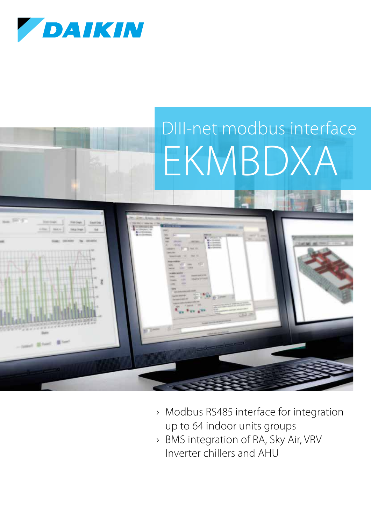

# DIII-net modbus interface EKMBDXA



- › Modbus RS485 interface for integration up to 64 indoor units groups
- › BMS integration of RA, Sky Air, VRV Inverter chillers and AHU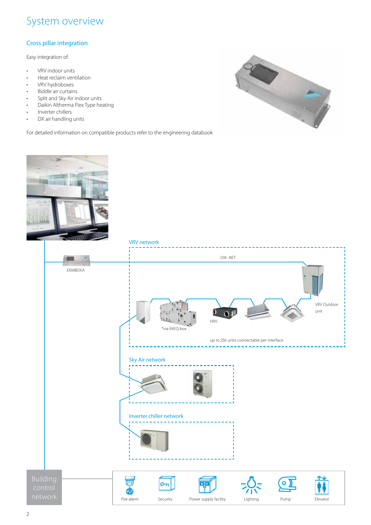### System overview

#### Cross pillar integration

Easy integration of:

- VRV indoor units
- Heat reclaim ventilation
- VRV hydroboxes
- Biddle air curtains
- Split and Sky Air indoor units
- Daikin Altherma Flex Type heating
- Inverter chillers
- DX air handling units

For detailed information on compatible products refer to the engineering databook



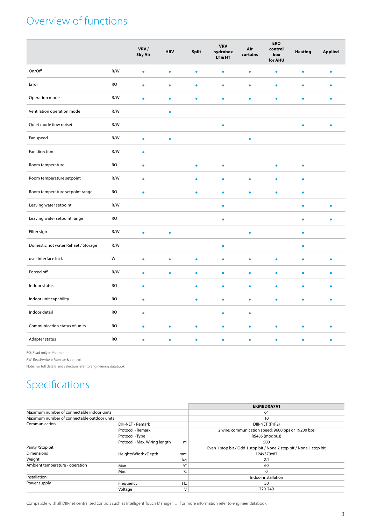## Overview of functions

|                                     |           | VRV/<br><b>Sky Air</b> | <b>HRV</b> | <b>Split</b> | <b>VRV</b><br>hydrobox<br>LT & HT | Air<br>curtains | <b>ERQ</b><br>control<br>box<br>for AHU | <b>Heating</b> | Applied |
|-------------------------------------|-----------|------------------------|------------|--------------|-----------------------------------|-----------------|-----------------------------------------|----------------|---------|
| On/Off                              | R/W       | ٠                      | $\bullet$  | ۰            | ٠                                 |                 | ٠                                       | ٠              |         |
| Error                               | <b>RO</b> | ٠                      | $\bullet$  | ۰            | ٠                                 | ۰               | ٠                                       |                |         |
| Operation mode                      | R/W       | $\bullet$              | ٠          | ۰            | $\bullet$                         | ٠               | $\bullet$                               | ۰              | ٠       |
| Ventilation operation mode          | R/W       |                        | $\bullet$  |              |                                   |                 |                                         |                |         |
| Quiet mode (low noise)              | R/W       |                        |            |              | ٠                                 |                 |                                         | ٠              | ٠       |
| Fan speed                           | R/W       | $\bullet$              | $\bullet$  |              |                                   | $\bullet$       |                                         |                |         |
| Fan direction                       | R/W       | $\bullet$              |            |              |                                   |                 |                                         |                |         |
| Room temperature                    | <b>RO</b> | $\bullet$              |            | $\bullet$    | $\bullet$                         |                 | $\bullet$                               | $\bullet$      |         |
| Room temperature setpoint           | R/W       | $\bullet$              |            |              | ó                                 |                 |                                         |                |         |
| Room temperature setpoint range     | <b>RO</b> | $\bullet$              |            | ٠            | $\bullet$                         |                 | ٠                                       | ٠              |         |
| Leaving water setpoint              | R/W       |                        |            |              | $\bullet$                         |                 |                                         | ó              | ٠       |
| Leaving water setpoint range        | <b>RO</b> |                        |            |              | ŏ                                 |                 |                                         |                |         |
| Filter sign                         | R/W       | ٠                      | ö          |              |                                   |                 |                                         | ٠              |         |
| Domestic hot water Rehaet / Storage | R/W       |                        |            |              | $\bullet$                         |                 |                                         | $\bullet$      |         |
| user interface lock                 | W         | ٠                      | $\bullet$  | ٠            | ٠                                 | ٠               | ٠                                       | ٠              | ٠       |
| Forced off                          | R/W       | ٠                      | $\bullet$  | ٠            | $\bullet$                         | ۰               | ٠                                       | ٠              |         |
| Indoor status                       | <b>RO</b> | $\bullet$              |            | ٠            | ٠                                 | ٠               | ٠                                       | ٠              |         |
| Indoor unit capability              | <b>RO</b> | $\bullet$              |            | ۰            | $\bullet$                         | ٠               | ٠                                       |                | ٠       |
| Indoor detail                       | <b>RO</b> | $\bullet$              |            |              | ۰                                 | $\bullet$       |                                         |                |         |
| Communication status of units       | <b>RO</b> | ٠                      | ٠          |              | ۰                                 | ٠               | ٥                                       |                |         |
| Adapter status                      | <b>RO</b> |                        | ö          |              | ۰                                 |                 |                                         |                |         |

RO: Read only = Monitor

RW: Read/write = Monitor & control

Note: For full details and selection refer to engineering databook

## Specifications

|                                             |                               |        | <b>EKMBDXA7V1</b>                                                    |  |  |  |  |
|---------------------------------------------|-------------------------------|--------|----------------------------------------------------------------------|--|--|--|--|
| Maximum number of connectable indoor units  |                               |        | 64                                                                   |  |  |  |  |
| Maximum number of connectable outdoor units |                               |        | 10                                                                   |  |  |  |  |
| Communication                               | <b>DIII-NET - Remark</b>      |        | DIII-NET (F1F2)                                                      |  |  |  |  |
|                                             | Protocol - Remark             |        | 2 wire; communication speed: 9600 bps or 19200 bps                   |  |  |  |  |
|                                             | Protocol - Type               |        | RS485 (modbus)                                                       |  |  |  |  |
|                                             | Protocol - Max. Wiring length | m      | 500                                                                  |  |  |  |  |
| Parity / Stop bit                           |                               |        | Even 1 stop bit / Odd 1 stop bit / None 2 stop bit / None 1 stop bit |  |  |  |  |
| <b>Dimensions</b>                           | HeightxWidthxDepth            | mm     | 124x379x87                                                           |  |  |  |  |
| Weight                                      |                               | kg     | 2.1                                                                  |  |  |  |  |
| Ambient temperature - operation             | Max.                          | °C     | 60                                                                   |  |  |  |  |
|                                             | Min.                          | °C     | 0                                                                    |  |  |  |  |
| Installation                                |                               |        | Indoor installation                                                  |  |  |  |  |
| Power supply                                | Frequency                     | Hz     | 50                                                                   |  |  |  |  |
|                                             | Voltage                       | $\vee$ | 220-240                                                              |  |  |  |  |

Compatible with all DIII-net centralised controls such as Intelligent Touch Manager, … For more information refer to engineer databook.